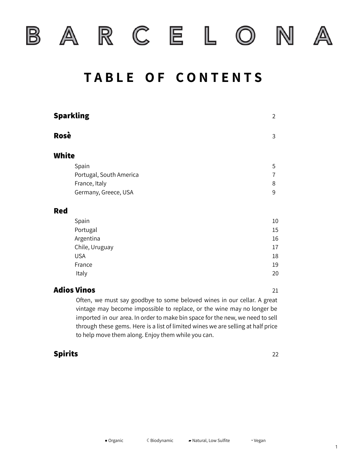



 $C$  E  $\mathbb R$ 

L.

 $\sqrt{2}$ 

### **T A B L E O F C O N T E N T S**

|              | <b>Sparkling</b>        | $\overline{2}$ |
|--------------|-------------------------|----------------|
| Rosè         |                         | 3              |
| <b>White</b> |                         |                |
|              | Spain                   | 5              |
|              | Portugal, South America | 7              |
|              | France, Italy           | 8              |
|              | Germany, Greece, USA    | 9              |
| <b>Red</b>   |                         |                |
|              | Spain                   | $10\,$         |
|              | Portugal                | 15             |
|              | Argentina               | 16             |
|              | Chile, Uruguay          | 17             |
|              | <b>USA</b>              | 18             |
|              | France                  | 19             |
|              | Italy                   | 20             |
|              | <b>Adios Vinos</b>      | 21             |

Often, we must say goodbye to some beloved wines in our cellar. A great vintage may become impossible to replace, or the wine may no longer be imported in our area. In order to make bin space for the new, we need to sell through these gems. Here is a list of limited wines we are selling at half price to help move them along. Enjoy them while you can.

#### **Spirits** 22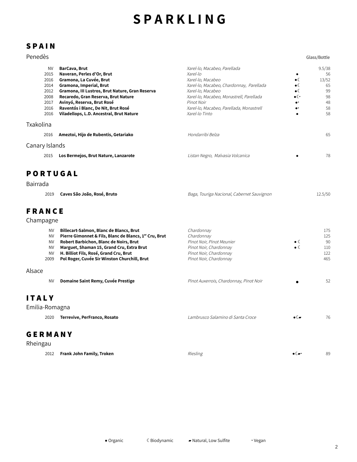### **S P A R K L I N G**

### **S P A I N**

| Penedès        |                                                 |                                          |                     | Glass/Bottle |
|----------------|-------------------------------------------------|------------------------------------------|---------------------|--------------|
| <b>NV</b>      | BarCava, Brut                                   | Xarel-lo, Macabeo, Parellada             |                     | 9.5/38       |
| 2015           | Naveran, Perles d'Or, Brut                      | Xarel-lo                                 |                     | 56           |
| 2016           | Gramona, La Cuvée, Brut                         | Xarel-lo, Macabeo                        | $\bullet$           | 13/52        |
| 2014           | Gramona, Imperial, Brut                         | Xarel-lo, Macabeo, Chardonnay, Parellada | $\bullet$           | 65           |
| 2012           | Gramona, III Lustros, Brut Nature, Gran Reserva | Xarel-lo, Macabeo                        | $\bullet$           | 99           |
| 2008           | Recaredo, Gran Reserva, Brut Nature             | Xarel-lo, Macabeo, Monastrell, Parellada | $\bullet$ ( $\cdot$ | 98           |
| 2017           | Avinyó, Reserva, Brut Rosé                      | Pinot Noir                               | $\bullet$           | 48           |
| 2016           | Raventós i Blanc, De Nit, Brut Rosé             | Xarel-lo, Macabeo, Parellada, Monastrell | $\bullet\text{-}$   | 58           |
| 2016           | Viladellops, L.D. Ancestral, Brut Nature        | Xarel-lo Tinto                           |                     | 58           |
| Txakolina      |                                                 |                                          |                     |              |
| 2016           | Ameztoi, Hijo de Rubentis, Getariako            | Hondarribi Belza                         |                     | 65           |
| Canary Islands |                                                 |                                          |                     |              |
| 2015           | Los Bermejos, Brut Nature, Lanzarote            | Listan Negro, Malvasia Volcanica         |                     | 78           |
|                |                                                 |                                          |                     |              |

#### **P O R T U G A L**

#### Bairrada

| 2019 Caves São João, Rosé, Bruto | Baga, Touriga Nacional, Cabernet Sauvignon | 12.5/50 |
|----------------------------------|--------------------------------------------|---------|
|                                  |                                            |         |

#### **F R A N C E**

#### Champagne

| <b>NV</b><br><b>NV</b><br><b>NV</b><br><b>NV</b><br><b>NV</b><br>2009 | Billecart-Salmon, Blanc de Blancs, Brut<br>Pierre Gimonnet & Fils, Blanc de Blancs, 1er Cru, Brut<br>Robert Barbichon, Blanc de Noirs, Brut<br>Marguet, Shaman 15, Grand Cru, Extra Brut<br>H. Billiot Fils, Rosé, Grand Cru, Brut<br>Pol Roger, Cuvée Sir Winston Churchill, Brut | Chardonnay<br>Chardonnay<br>Pinot Noir, Pinot Meunier<br>Pinot Noir, Chardonnay<br>Pinot Noir, Chardonnay<br>Pinot Noir, Chardonnay | $\bullet$<br>$\bullet$            | 175<br>125<br>90<br>110<br>122<br>465 |
|-----------------------------------------------------------------------|------------------------------------------------------------------------------------------------------------------------------------------------------------------------------------------------------------------------------------------------------------------------------------|-------------------------------------------------------------------------------------------------------------------------------------|-----------------------------------|---------------------------------------|
| Alsace                                                                |                                                                                                                                                                                                                                                                                    |                                                                                                                                     |                                   |                                       |
| <b>NV</b>                                                             | Domaine Saint Remy, Cuvée Prestige                                                                                                                                                                                                                                                 | Pinot Auxerrois, Chardonnay, Pinot Noir                                                                                             |                                   | 52                                    |
| <b>ITALY</b><br>Emilia-Romagna                                        |                                                                                                                                                                                                                                                                                    |                                                                                                                                     |                                   |                                       |
| 2020                                                                  | Terrevive, PerFranco, Rosato                                                                                                                                                                                                                                                       | Lambrusco Salamino di Santa Croce                                                                                                   | •€-                               | 76                                    |
| <b>GERMANY</b><br>Rheingau                                            |                                                                                                                                                                                                                                                                                    |                                                                                                                                     |                                   |                                       |
| 2012                                                                  | Frank John Family, Troken                                                                                                                                                                                                                                                          | Riesling                                                                                                                            | $\bullet$ ( $\blacktriangleright$ | 89                                    |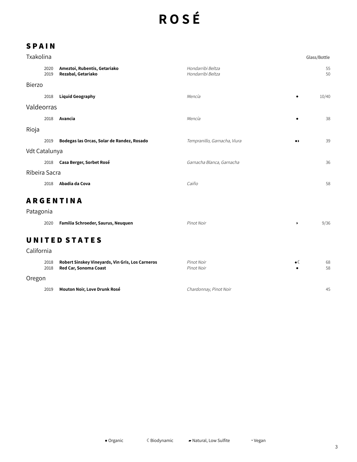# **R O S É**

| Txakolina     |              |                                                    |                                        | Glass/Bottle                 |          |
|---------------|--------------|----------------------------------------------------|----------------------------------------|------------------------------|----------|
|               | 2020<br>2019 | Ameztoi, Rubentis, Getariako<br>Rezabal, Getariako | Hondarribi Beltza<br>Hondarribi Beltza |                              | 55<br>50 |
| <b>Bierzo</b> |              |                                                    |                                        |                              |          |
|               | 2018         | <b>Liquid Geography</b>                            | Mencía                                 |                              | 10/40    |
| Valdeorras    |              |                                                    |                                        |                              |          |
|               | 2018         | Avancia                                            | Mencía                                 |                              | 38       |
| Rioja         |              |                                                    |                                        |                              |          |
|               | 2019         | Bodegas las Orcas, Solar de Randez, Rosado         | Tempranillo, Garnacha, Viura           | $\bullet\blacktriangleright$ | 39       |
| Vdt Catalunya |              |                                                    |                                        |                              |          |
|               | 2018         | Casa Berger, Sorbet Rosé                           | Garnacha Blanca, Garnacha              |                              | 36       |
| Ribeira Sacra |              |                                                    |                                        |                              |          |
|               | 2018         | Abadia da Cova                                     | Caiño                                  |                              | 58       |
|               |              | <b>ARGENTINA</b>                                   |                                        |                              |          |
| Patagonia     |              |                                                    |                                        |                              |          |
|               | 2020         | Familia Schroeder, Saurus, Neuquen                 | Pinot Noir                             | $\blacktriangleright$        | 9/36     |
| California    |              | <b>UNITED STATES</b>                               |                                        |                              |          |
|               |              |                                                    |                                        |                              |          |

| 2018<br>2018 | <b>Robert Sinskey Vineyards, Vin Gris, Los Carneros</b><br>Red Car, Sonoma Coast | Pinot Noir<br>Pinot Noir | $\bullet$ (( | 68<br>58 |
|--------------|----------------------------------------------------------------------------------|--------------------------|--------------|----------|
| Oregon       |                                                                                  |                          |              |          |
| 2019         | Mouton Noir, Love Drunk Rosé                                                     | Chardonnay, Pinot Noir   |              | 45       |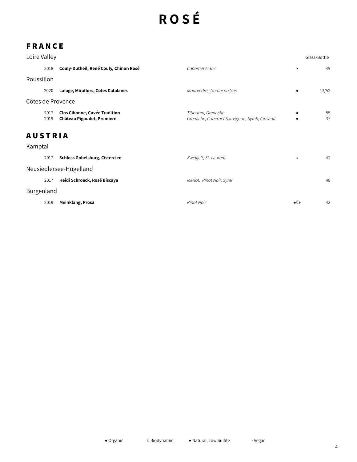# **R O S É**

### **F R A N C E**

| Loire Valley   |              |                                                                    |                                                                     |                      | Glass/Bottle |
|----------------|--------------|--------------------------------------------------------------------|---------------------------------------------------------------------|----------------------|--------------|
|                | 2018         | Couly-Dutheil, René Couly, Chinon Rosé                             | Cabernet Franc                                                      |                      | 49           |
| Roussillon     |              |                                                                    |                                                                     |                      |              |
|                | 2020         | Lafage, Miraflors, Cotes Catalanes                                 | Mourvèdre, Grenache Gris                                            |                      | 13/52        |
|                |              | Côtes de Provence                                                  |                                                                     |                      |              |
|                | 2017<br>2019 | <b>Clos Cibonne, Cuvée Tradition</b><br>Château Pigoudet, Premiere | Tibouren, Grenache<br>Grenache, Cabernet Sauvignon, Syrah, Cinsault |                      | 55<br>37     |
| <b>AUSTRIA</b> |              |                                                                    |                                                                     |                      |              |
| Kamptal        |              |                                                                    |                                                                     |                      |              |
|                | 2017         | <b>Schloss Gobelsburg, Cistercien</b>                              | Zweigelt, St. Laurent                                               | $\ddot{\phantom{1}}$ | 42           |
|                |              | Neusiedlersee-Hügelland                                            |                                                                     |                      |              |
|                | 2017         | Heidi Schroeck, Rosé Biscaya                                       | Merlot, Pinot Noir, Syrah                                           |                      | 48           |
| Burgenland     |              |                                                                    |                                                                     |                      |              |
|                | 2019         | Meinklang, Prosa                                                   | Pinot Noir                                                          | $\bullet$ ( )        | 42           |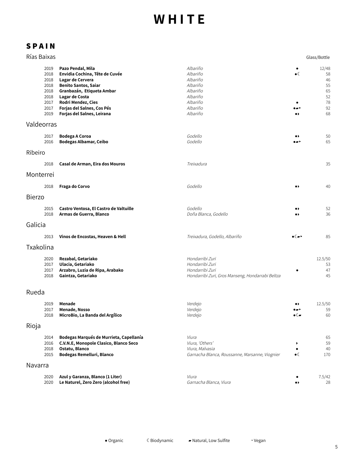| Rías Baixas   |                                                                      |                                                                                                                                                                                                                                         |                                                                                                           |                                    | Glass/Bottle                                          |
|---------------|----------------------------------------------------------------------|-----------------------------------------------------------------------------------------------------------------------------------------------------------------------------------------------------------------------------------------|-----------------------------------------------------------------------------------------------------------|------------------------------------|-------------------------------------------------------|
|               | 2019<br>2018<br>2018<br>2018<br>2018<br>2018<br>2017<br>2017<br>2019 | Pazo Pendal, Mila<br>Envidia Cochina, Tête de Cuvée<br>Lagar de Cervera<br><b>Benito Santos, Saiar</b><br>Granbazán, Etiqueta Ambar<br>Lagar de Costa<br>Rodri Mendez, Cies<br>Forjas del Salnes, Cos Pés<br>Forjas del Salnes, Leirana | Albariño<br>Albariño<br>Albariño<br>Albariño<br>Albariño<br>Albariño<br>Albariño<br>Albariño<br>Albariño  | $\bullet$ (<br>( پ<br>.,           | 12/48<br>58<br>46<br>55<br>65<br>52<br>78<br>92<br>68 |
| Valdeorras    |                                                                      |                                                                                                                                                                                                                                         |                                                                                                           |                                    |                                                       |
|               | 2017<br>2016                                                         | <b>Bodega A Coroa</b><br><b>Bodegas Albamar, Ceibo</b>                                                                                                                                                                                  | Godello<br>Godello                                                                                        | $\bullet\ast$<br>$\bullet$         | 50<br>65                                              |
| Ribeiro       |                                                                      |                                                                                                                                                                                                                                         |                                                                                                           |                                    |                                                       |
|               | 2018                                                                 | Casal de Arman, Eira dos Mouros                                                                                                                                                                                                         | Treixadura                                                                                                |                                    | 35                                                    |
| Monterrei     |                                                                      |                                                                                                                                                                                                                                         |                                                                                                           |                                    |                                                       |
|               | 2018                                                                 | Fraga do Corvo                                                                                                                                                                                                                          | Godello                                                                                                   | .,                                 | 40                                                    |
| <b>Bierzo</b> |                                                                      |                                                                                                                                                                                                                                         |                                                                                                           |                                    |                                                       |
|               | 2015<br>2018                                                         | Castro Ventosa, El Castro de Valtuille<br>Armas de Guerra, Blanco                                                                                                                                                                       | Godello<br>Doña Blanca, Godello                                                                           | .,                                 | 52<br>36                                              |
| Galicia       |                                                                      |                                                                                                                                                                                                                                         |                                                                                                           |                                    |                                                       |
|               | 2013                                                                 | Vinos de Encostas, Heaven & Hell                                                                                                                                                                                                        | Treixadura, Godello, Albariño                                                                             | $\bullet$ ( $\to$ )                | 85                                                    |
| Txakolina     |                                                                      |                                                                                                                                                                                                                                         |                                                                                                           |                                    |                                                       |
|               | 2020<br>2017<br>2017<br>2018                                         | Rezabal, Getariako<br>Ulacia, Getariako<br>Arzabro, Luzia de Ripa, Arabako<br>Gaintza, Getariako                                                                                                                                        | Hondarribi Zuri<br>Hondarribi Zuri<br>Hondarribi Zuri<br>Hondarribi Zuri, Gros Manseng, Hondarrabi Beltza |                                    | 12.5/50<br>53<br>47<br>45                             |
| Rueda         |                                                                      |                                                                                                                                                                                                                                         |                                                                                                           |                                    |                                                       |
|               | 2019<br>2017<br>2018                                                 | Menade<br>Menade, Nosso<br>MicroBio, La Banda del Argílico                                                                                                                                                                              | Verdejo<br>Verdejo<br>Verdejo                                                                             | $\bullet$<br>$\bullet$ ( $\bullet$ | 12.5/50<br>59<br>60                                   |
| Rioja         |                                                                      |                                                                                                                                                                                                                                         |                                                                                                           |                                    |                                                       |
|               | 2014<br>2016<br>2018<br>2015                                         | Bodegas Marqués de Murrieta, Capellanía<br>C.V.N.E, Monopole Clasico, Blanco Seco<br>Ostatu, Blanco<br>Bodegas Remelluri, Blanco                                                                                                        | Viura<br>Viura, 'Others'<br>Viura, Malvasia<br>Garnacha Blanca, Roussanne, Marsanne, Viognier             | $\bullet$ (                        | 65<br>59<br>40<br>170                                 |
| Navarra       |                                                                      |                                                                                                                                                                                                                                         |                                                                                                           |                                    |                                                       |
|               | 2020<br>2020                                                         | Azul y Garanza, Blanco (1 Liter)<br>Le Naturel, Zero Zero (alcohol free)                                                                                                                                                                | Viura<br>Garnacha Blanca, Viura                                                                           |                                    | 7.5/42<br>28                                          |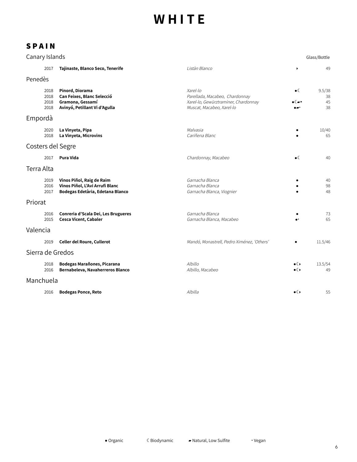| Canary Islands    |                              |                                                                                                    |                                                                                                                 |                     | Glass/Bottle             |
|-------------------|------------------------------|----------------------------------------------------------------------------------------------------|-----------------------------------------------------------------------------------------------------------------|---------------------|--------------------------|
|                   | 2017                         | Tajinaste, Blanco Seco, Tenerife                                                                   | Listàn Blanco                                                                                                   | ٠                   | 49                       |
| Penedès           |                              |                                                                                                    |                                                                                                                 |                     |                          |
|                   | 2018<br>2018<br>2018<br>2018 | Pinord, Diorama<br>Can Feixes, Blanc Selecció<br>Gramona, Gessamí<br>Avinyó, Petillant Vi d'Agulla | Xarel-lo<br>Parellada, Macabeo, Chardonnay<br>Xarel-lo, Gewürztraminer, Chardonnay<br>Muscat, Macabeo, Xarel-lo | $\bullet$ (<br>∙∝   | 9.5/38<br>38<br>45<br>38 |
| Empordà           |                              |                                                                                                    |                                                                                                                 |                     |                          |
|                   | 2020<br>2018                 | La Vinyeta, Pipa<br>La Vinyeta, Microvins                                                          | Malvasia<br>Cariñena Blanc                                                                                      |                     | 10/40<br>65              |
| Costers del Segre |                              |                                                                                                    |                                                                                                                 |                     |                          |
|                   | 2017                         | Pura Vida                                                                                          | Chardonnay, Macabeo                                                                                             | $\bullet$ (         | 40                       |
| Terra Alta        |                              |                                                                                                    |                                                                                                                 |                     |                          |
|                   | 2019<br>2016<br>2017         | Vinos Piñol, Raig de Raim<br>Vinos Piñol, L'Avi Arrufi Blanc<br>Bodegas Edetària, Edetana Blanco   | Garnacha Blanca<br>Garnacha Blanca<br>Garnacha Blanca, Viognier                                                 |                     | 40<br>98<br>48           |
| Priorat           |                              |                                                                                                    |                                                                                                                 |                     |                          |
|                   | 2016<br>2015                 | Conreria d'Scala Dei, Les Brugueres<br>Cesca Vicent, Cabaler                                       | Garnacha Blanca<br>Garnacha Blanca, Macabeo                                                                     |                     | 73<br>65                 |
| Valencia          |                              |                                                                                                    |                                                                                                                 |                     |                          |
|                   | 2019                         | <b>Celler del Roure, Cullerot</b>                                                                  | Mandó, Monastrell, Pedro Ximénez, 'Others'                                                                      |                     | 11.5/46                  |
| Sierra de Gredos  |                              |                                                                                                    |                                                                                                                 |                     |                          |
|                   | 2018<br>2016                 | Bodegas Marañones, Picarana<br>Bernabeleva, Navaherreros Blanco                                    | Albillo<br>Albillo, Macabeo                                                                                     | ∙€<br>$\bullet$ ( ) | 13.5/54<br>49            |
| Manchuela         |                              |                                                                                                    |                                                                                                                 |                     |                          |
|                   | 2016                         | <b>Bodegas Ponce, Reto</b>                                                                         | Albilla                                                                                                         | $\bullet$ ( )       | 55                       |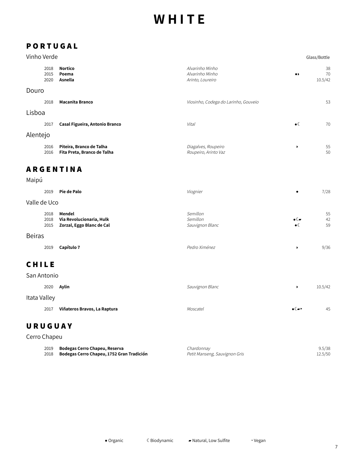### **P O R T U G A L**

| Vinho Verde |  |
|-------------|--|
|-------------|--|

| Vinho Verde          |                                                                 |                                                        |                                    | Glass/Bottle        |
|----------------------|-----------------------------------------------------------------|--------------------------------------------------------|------------------------------------|---------------------|
| 2018<br>2015<br>2020 | <b>Nortico</b><br>Poema<br>Asnella                              | Alvarinho Minho<br>Alvarinho Minho<br>Arinto, Loureiro | $\bullet\blacktriangleright$       | 38<br>70<br>10.5/42 |
| Douro                |                                                                 |                                                        |                                    |                     |
| 2018                 | <b>Macanita Branco</b>                                          | Viosinho, Codega do Larinho, Gouveio                   |                                    | 53                  |
| Lisboa               |                                                                 |                                                        |                                    |                     |
| 2017                 | Casal Figueira, Antonio Branco                                  | Vital                                                  | $\bullet$ (                        | 70                  |
| Alentejo             |                                                                 |                                                        |                                    |                     |
| 2016<br>2016         | Piteira, Branco de Talha<br>Fita Preta, Branco de Talha         | Diagalves, Roupeiro<br>Roupeiro, Arinto Vaz            | ▶                                  | 55<br>50            |
|                      | <b>ARGENTINA</b>                                                |                                                        |                                    |                     |
| Maipú                |                                                                 |                                                        |                                    |                     |
| 2019                 | Pie de Palo                                                     | Viognier                                               |                                    | 7/28                |
| Valle de Uco         |                                                                 |                                                        |                                    |                     |
| 2018<br>2018<br>2015 | Mendel<br>Via Revolucionaria, Hulk<br>Zorzal, Eggo Blanc de Cal | Semillon<br>Semillon<br>Sauvignon Blanc                | $\bullet$ ( $\bullet$<br>$\bullet$ | 55<br>42<br>59      |
| <b>Beiras</b>        |                                                                 |                                                        |                                    |                     |
| 2019                 | Capítulo 7                                                      | Pedro Ximénez                                          | ▶                                  | 9/36                |
| CHILE                |                                                                 |                                                        |                                    |                     |

#### **C H I L E**

| San Antonio  |                              |                 |                         |         |
|--------------|------------------------------|-----------------|-------------------------|---------|
|              | 2020 <b>Aylin</b>            | Sauvignon Blanc |                         | 10.5/42 |
| Itata Valley |                              |                 |                         |         |
| 2017         | Viñateros Bravos, La Raptura | Moscatel        | $\bullet$ ( $\bullet$ ) | 45      |

#### **U R U G U A Y**

Cerro Chapeu

| 2019 | Bodegas Cerro Chapeu, Reserva             | Chardonnav                    | 9.5/38  |
|------|-------------------------------------------|-------------------------------|---------|
| 2018 | Bodegas Cerro Chapeu, 1752 Gran Tradición | Petit Manseng, Sauvignon Gris | 12.5/50 |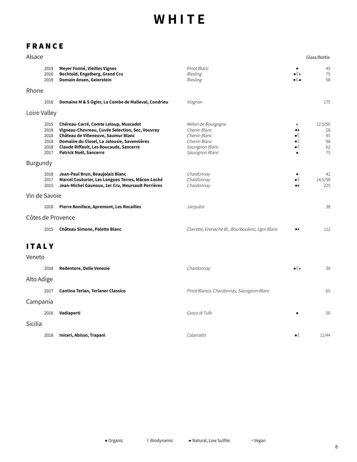### **F R A N C E**

| Alsace        |                                              |                                                                                                                                                                                                                                                            |                                                                                                          |                                                                                 | Glass/Bottle                          |
|---------------|----------------------------------------------|------------------------------------------------------------------------------------------------------------------------------------------------------------------------------------------------------------------------------------------------------------|----------------------------------------------------------------------------------------------------------|---------------------------------------------------------------------------------|---------------------------------------|
|               | 2019<br>2016<br>2019                         | Meyer Fonné, Vieilles Vignes<br>Bechtold, Engelberg, Grand Cru<br>Domain Ansen, Geierstein                                                                                                                                                                 | Pinot Blanc<br>Riesling<br>Riesling                                                                      | $\bullet$ ( )<br>$\bullet$ ( $\blacksquare$                                     | 45<br>75<br>58                        |
| Rhone         |                                              |                                                                                                                                                                                                                                                            |                                                                                                          |                                                                                 |                                       |
|               | 2016                                         | Domaine M & S Ogier, La Combe de Malleval, Condrieu                                                                                                                                                                                                        | Viognier                                                                                                 |                                                                                 | 175                                   |
| Loire Valley  |                                              |                                                                                                                                                                                                                                                            |                                                                                                          |                                                                                 |                                       |
|               | 2015<br>2018<br>2018<br>2018<br>2018<br>2017 | Chéreau-Carré, Comte Leloup, Muscadet<br>Vigneau-Chevreau, Cuvée Selection, Sec, Vouvray<br>Château de Villeneuve, Saumur Blanc<br>Domaine du Closel, La Jalousie, Savennières<br><b>Claude Riffault, Les Boucauds, Sancerre</b><br>Patrick Noël, Sancerre | Melon de Bourgogne<br>Chenin Blanc<br>Chenin Blanc<br>Chenin Blanc<br>Sauvignon Blanc<br>Sauvignon Blanc | ١<br>$\bullet\,\flat$<br>$\bullet$ (<br>$\bullet$ (<br>$\bullet$ (<br>$\bullet$ | 12.5/50<br>58<br>45<br>98<br>62<br>75 |
| Burgundy      |                                              |                                                                                                                                                                                                                                                            |                                                                                                          |                                                                                 |                                       |
|               | 2018<br>2017<br>2015                         | Jean-Paul Brun, Beaujolais Blanc<br>Marcel Couturier, Les Longues Terres, Mâcon-Loché<br>Jean-Michel Gaunoux, 1er Cru, Meursault Perrières                                                                                                                 | Chardonnay<br>Chardonnay<br>Chardonnay                                                                   | $\bullet$ (<br>$\bullet\blacktriangleright$                                     | 42<br>14.5/58<br>225                  |
| Vin de Savoie |                                              |                                                                                                                                                                                                                                                            |                                                                                                          |                                                                                 |                                       |
|               | 2018                                         | <b>Pierre Boniface, Apremont, Les Rocailles</b>                                                                                                                                                                                                            | Jacquère                                                                                                 |                                                                                 | 38                                    |
|               |                                              | Côtes de Provence                                                                                                                                                                                                                                          |                                                                                                          |                                                                                 |                                       |
|               | 2015                                         | Château Simone, Palette Blanc                                                                                                                                                                                                                              | Clairette, Grenache Bl., Bourboulenc, Ugni Blanc                                                         | $\bullet\,\flat$                                                                | 112                                   |
| <b>ITALY</b>  |                                              |                                                                                                                                                                                                                                                            |                                                                                                          |                                                                                 |                                       |
| Veneto        |                                              |                                                                                                                                                                                                                                                            |                                                                                                          |                                                                                 |                                       |
|               | 2018                                         | Redentore, Delle Venezie                                                                                                                                                                                                                                   | Chardonnay                                                                                               | $\bullet$ ( )                                                                   | 39                                    |
| Alto Adige    |                                              |                                                                                                                                                                                                                                                            |                                                                                                          |                                                                                 |                                       |
|               | 2017                                         | Cantina Terlan, Terlaner Classico                                                                                                                                                                                                                          | Pinot Bianco, Chardonnay, Sauvignon Blanc                                                                |                                                                                 | 65                                    |
| Campania      |                                              |                                                                                                                                                                                                                                                            |                                                                                                          |                                                                                 |                                       |
|               | 2016                                         | Vadiaperti                                                                                                                                                                                                                                                 | Greco di Tufo                                                                                            |                                                                                 | 50                                    |
| Sicilia       |                                              |                                                                                                                                                                                                                                                            |                                                                                                          |                                                                                 |                                       |
|               | 2018                                         | Iniceri, Abisso, Trapani                                                                                                                                                                                                                                   | Catarratto                                                                                               | $\bullet$                                                                       | 11/44                                 |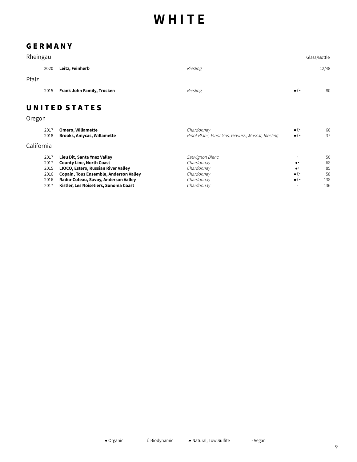#### **G E R M A N Y**

| Rheingau   |      |                                   |                                                    |                     | Glass/Bottle |
|------------|------|-----------------------------------|----------------------------------------------------|---------------------|--------------|
|            | 2020 | Leitz, Feinherb                   | Riesling                                           |                     | 12/48        |
| Pfalz      |      |                                   |                                                    |                     |              |
|            | 2015 | Frank John Family, Trocken        | Riesling                                           | $\bullet$ ( $\cdot$ | 80           |
|            |      | <b>UNITED STATES</b>              |                                                    |                     |              |
| Oregon     |      |                                   |                                                    |                     |              |
|            | 2017 | <b>Omero, Willamette</b>          | Chardonnay                                         | $\bullet$ ( $\cdot$ | 60           |
|            | 2018 | <b>Brooks, Amycas, Willamette</b> | Pinot Blanc, Pinot Gris, Gewurz., Muscat, Riesling | $\bullet$ ( $\cdot$ | 37           |
| California |      |                                   |                                                    |                     |              |
|            | 2017 | Lieu Dit, Santa Ynez Valley       | Sauvignon Blanc                                    | ٠                   | 50           |
|            | 2017 | <b>County Line, North Coast</b>   | Chardonnay                                         | $\bullet^{\star}$   | 68           |

| 2017 | County Line, North Coast                    | Chardonnay |                     | 68  |
|------|---------------------------------------------|------------|---------------------|-----|
|      | 2015 LIOCO, Estero, Russian River Valley    | Chardonnav | $\bullet$           | 85  |
|      | 2016 Copain, Tous Ensemble, Anderson Valley | Chardonnav | $\bullet$ ( $\cdot$ | .58 |
| 2016 | Radio-Coteau, Savoy, Anderson Valley        | Chardonnav | $\bullet$ ( $\cdot$ | 138 |
| 2017 | Kistler, Les Noisetiers, Sonoma Coast       | Chardonnav |                     | 136 |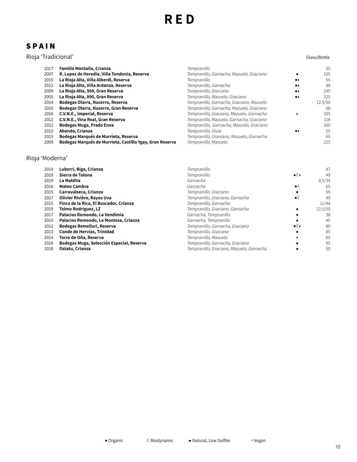#### **S P A I N**

#### Rioja 'Tradicional' Glass/Bottle

| 2017 | Familia Montaña, Crianza                                 | Tempranillo                              |                              | 35      |
|------|----------------------------------------------------------|------------------------------------------|------------------------------|---------|
| 2007 | R. Lopez de Heredia, Viña Tondonia, Reserva              | Tempranillo, Garnacha, Mazuelo, Graciano |                              | 105     |
| 2015 | La Rioja Alta, Viña Alberdi, Reserva                     | Tempranillo                              | $\bullet\blacktriangleright$ | 55      |
| 2012 | La Rioja Alta, Viña Ardanza, Reserva                     | Tempranillo, Garnacha                    | $\bullet\blacktriangleright$ | 88      |
| 2009 | La Rioja Alta, 904, Gran Reserva                         | Tempranillo, Graciano                    | $\bullet\blacktriangleright$ | 145     |
| 2005 | La Rioja Alta, 890, Gran Reserva                         | Tempranillo, Mazuelo, Graciano           | $\bullet\blacktriangleright$ | 325     |
| 2014 | Bodegas Olarra, Nucerro, Reserva                         | Tempranillo, Garnacha, Graciano, Mazuelo |                              | 12.5/50 |
| 2010 | Bodegas Olarra, Nucerro, Gran Reserva                    | Tempranillo, Garnacha, Mazuelo, Graciano |                              | 68      |
| 2016 | C.V.N.E., Imperial, Reserva                              | Tempranillo, Graciano, Mazuelo, Garnacha |                              | 105     |
| 2012 | C.V.N.E., Vina Real, Gran Reserva                        | Tempranillo, Mazuelo, Garnacha, Graciano |                              | 118     |
| 2011 | Bodegas Muga, Prado Enea                                 | Tempranillo, Garnacha, Mazuelo, Graciano |                              | 160     |
| 2012 | Abando, Crianza                                          | Tempranillo, Viura                       | $\bullet\bullet$             | 55      |
| 2015 | Bodegas Marqués de Murrieta, Reserva                     | Tempranillo, Graniano, Mazuelo, Garnacha |                              | 65      |
| 2009 | Bodegas Marqués de Murrieta, Castillo Ygay, Gran Reserva | Tempranillo, Mazuelo                     |                              | 225     |
|      |                                                          |                                          |                              |         |

#### Rioja 'Moderna'

| 2014 | Luberri, Biga, Crianza                    | Tempranillo                              |               | 47      |
|------|-------------------------------------------|------------------------------------------|---------------|---------|
| 2018 | Sierra de Tolono                          | Tempranillo                              | $\bullet$ ( ) | 49      |
| 2019 | La Maldita                                | Garnacha                                 |               | 8.5/34  |
| 2016 | <b>Mateo Cambra</b>                       | Garnacha                                 | $\bullet$     | 65      |
| 2015 | Carravalseca, Crianza                     | Tempranillo, Graciano                    |               | 55      |
| 2017 | Olivier Rivière, Rayos Uva                | Tempranillo, Graciano, Garnacha          | $\bullet$     | 49      |
| 2015 | Finca de la Rica, El Buscador, Crianza    | Tempranillo, Garnacha                    |               | 11/44   |
| 2019 | Telmo Rodriguez, LZ                       | Tempranillo, Graciano, Garnacha          |               | 12.5/50 |
| 2017 | Palacios Remondo, La Vendimia             | Garnacha, Tempranillo                    |               | 38      |
| 2015 | Palacios Remondo, La Montesa, Crianza     | Garnacha, Tempranillo                    |               | 45      |
| 2012 | Bodegas Remelluri, Reserva                | Tempranillo, Garnacha, Graciano          | $\bullet$ ( ) | 80      |
| 2013 | Conde de Hervías, Trinidad                | Tempranillo, Graciano                    |               | 85      |
| 2014 | Torre de Oña, Reserva                     | Tempranillo, Mazuelo                     |               | 60      |
| 2016 | Bodegas Muga, Selección Especial, Reserva | Tempranillo, Garnacha, Graciano          |               | 95      |
| 2018 | Ostatu, Crianza                           | Tempranillo, Graciano, Mazuelo, Garnacha |               | 50      |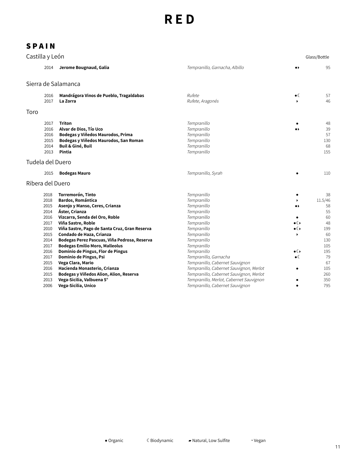| Castilla y León  |                                              |                                                                                                                                                                 |                                                                                        |                                    | Glass/Bottle                       |
|------------------|----------------------------------------------|-----------------------------------------------------------------------------------------------------------------------------------------------------------------|----------------------------------------------------------------------------------------|------------------------------------|------------------------------------|
|                  | 2014                                         | Jerome Bougnaud, Galia                                                                                                                                          | Tempranillo, Garnacha, Albillo                                                         | .,                                 | 95                                 |
|                  |                                              | Sierra de Salamanca                                                                                                                                             |                                                                                        |                                    |                                    |
|                  | 2016<br>2017                                 | Mandrágora Vinos de Pueblo, Tragaldabas<br>La Zorra                                                                                                             | Rufete<br>Rufete, Aragonés                                                             | $\bullet$<br>$\blacktriangleright$ | 57<br>46                           |
|                  |                                              |                                                                                                                                                                 |                                                                                        |                                    |                                    |
| Toro             |                                              |                                                                                                                                                                 |                                                                                        |                                    |                                    |
|                  | 2017<br>2016<br>2016<br>2015<br>2014<br>2013 | <b>Triton</b><br>Alvar de Dios, Tío Uco<br>Bodegas y Viñedos Maurodos, Prima<br>Bodegas y Viñedos Maurodos, San Roman<br><b>Buil &amp; Giné, Buil</b><br>Pintia | Tempranillo<br>Tempranillo<br>Tempranillo<br>Tempranillo<br>Tempranillo<br>Tempranillo | $\bullet\blacktriangleright$       | 48<br>39<br>57<br>130<br>68<br>155 |
| Tudela del Duero |                                              |                                                                                                                                                                 |                                                                                        |                                    |                                    |
|                  |                                              |                                                                                                                                                                 |                                                                                        |                                    |                                    |
|                  | 2015                                         | <b>Bodegas Mauro</b>                                                                                                                                            | Tempranillo, Syrah                                                                     |                                    | 110                                |
| Ribera del Duero |                                              |                                                                                                                                                                 |                                                                                        |                                    |                                    |
|                  | 2018<br>2018                                 | Torremorón, Tinto<br><b>Bardos, Romántica</b>                                                                                                                   | Tempranillo<br>Tempranillo                                                             |                                    | 38<br>11.5/46                      |
|                  | 2015                                         | Asenjo y Manso, Ceres, Crianza                                                                                                                                  | Tempranillo                                                                            | $\bullet\blacktriangleright$       | 58                                 |
|                  | 2014<br>2016                                 | Áster, Crianza                                                                                                                                                  | Tempranillo<br>Tempranillo                                                             |                                    | 55<br>60                           |
|                  | 2017                                         | Vizcarra, Senda del Oro, Roble<br>Viña Sastre, Roble                                                                                                            | Tempranillo                                                                            | $\bullet$                          | 48                                 |
|                  | 2010                                         | Viña Sastre, Pago de Santa Cruz, Gran Reserva                                                                                                                   | Tempranillo                                                                            | $\bullet$ ( )                      | 199                                |
|                  | 2015                                         | Condado de Haza, Crianza                                                                                                                                        | Tempranillo                                                                            | $\blacktriangleright$              | 60                                 |
|                  | 2014                                         | Bodegas Perez Pascuas, Viña Pedrosa, Reserva                                                                                                                    | Tempranillo                                                                            |                                    | 130                                |
|                  | 2017                                         | <b>Bodegas Emilio Moro, Malleolus</b>                                                                                                                           | Tempranillo                                                                            |                                    | 105                                |
|                  | 2016                                         | Dominio de Pingus, Flor de Pingus                                                                                                                               | Tempranillo                                                                            | $\bullet$ ( )                      | 195                                |
|                  | 2017                                         | Dominio de Pingus, Psi                                                                                                                                          | Tempranillo, Garnacha                                                                  | $\bullet$                          | 79                                 |
|                  | 2015                                         | Vega Clara, Mario                                                                                                                                               | Tempranillo, Cabernet Sauvignon                                                        |                                    | 67                                 |
|                  | 2016                                         | Hacienda Monasterio, Crianza                                                                                                                                    | Tempranillo, Cabernet Sauvignon, Merlot                                                | ٠                                  | 105                                |
|                  | 2015                                         | Bodegas y Viñedos Alion, Alion, Reserva                                                                                                                         | Tempranillo, Cabernet Sauvignon, Merlot                                                |                                    | 260                                |
|                  | 2013                                         | Vega-Sicilia, Valbuena 5°                                                                                                                                       | Tempranillo, Merlot, Cabernet Sauvignon                                                |                                    | 350                                |
|                  | 2006                                         | Vega-Sicilia, Unico                                                                                                                                             | Tempranillo, Cabernet Sauvignon                                                        | ٠                                  | 795                                |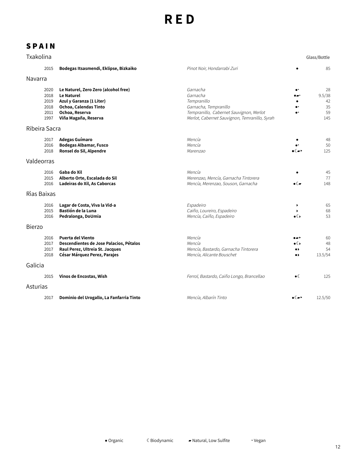| Txakolina     |                                              |                                                                                                                                                          |                                                                                                                                                          |                                                                | Glass/Bottle                          |
|---------------|----------------------------------------------|----------------------------------------------------------------------------------------------------------------------------------------------------------|----------------------------------------------------------------------------------------------------------------------------------------------------------|----------------------------------------------------------------|---------------------------------------|
|               | 2015                                         | Bodegas Itsasmendi, Eklipse, Bizkaiko                                                                                                                    | Pinot Noir, Hondarrabi Zuri                                                                                                                              |                                                                | 85                                    |
| Navarra       |                                              |                                                                                                                                                          |                                                                                                                                                          |                                                                |                                       |
|               | 2020<br>2018<br>2019<br>2018<br>2011<br>1997 | Le Naturel, Zero Zero (alcohol free)<br><b>Le Naturel</b><br>Azul y Garanza (1 Liter)<br>Ochoa, Calendas Tinto<br>Ochoa, Reserva<br>Viña Magaña, Reserva | Garnacha<br>Garnacha<br>Tempranillo<br>Garnacha, Tempranillo<br>Tempranillo, Cabernet Sauvignon, Merlot<br>Merlot, Cabernet Sauvignon, Temranillo, Syrah |                                                                | 28<br>9.5/38<br>42<br>35<br>59<br>145 |
| Ribeira Sacra |                                              |                                                                                                                                                          |                                                                                                                                                          |                                                                |                                       |
|               | 2017<br>2016<br>2018                         | Adegas Guímaro<br><b>Bodegas Albamar, Fusco</b><br>Ronsel do Sil, Alpendre                                                                               | Mencía<br>Mencía<br>Marenzao                                                                                                                             |                                                                | 48<br>50<br>125                       |
| Valdeorras    |                                              |                                                                                                                                                          |                                                                                                                                                          |                                                                |                                       |
|               | 2016<br>2015<br>2016                         | Gaba do Xil<br>Alberto Orte, Escalada do Sil<br>Ladeiras do Xil, As Caborcas                                                                             | Mencía<br>Merenzao, Mencía, Garnacha Tintorera<br>Mencía, Merenzao, Souson, Garnacha                                                                     | $\bullet$ ( $\blacktriangleright$                              | 45<br>77<br>148                       |
| Rìas Baixas   |                                              |                                                                                                                                                          |                                                                                                                                                          |                                                                |                                       |
|               | 2016<br>2015<br>2016                         | Lagar de Costa, Viva la Vid-a<br>Bastión de la Luna<br>Pedralonga, DoUmia                                                                                | Espadeiro<br>Caiño, Loureiro, Espadeiro<br>Mencía, Caiño, Espadeiro                                                                                      | $\bullet$                                                      | 65<br>68<br>53                        |
| <b>Bierzo</b> |                                              |                                                                                                                                                          |                                                                                                                                                          |                                                                |                                       |
|               | 2016<br>2017<br>2017<br>2018                 | <b>Puerta del Viento</b><br>Descendientes de Jose Palacios, Pétalos<br>Raul Perez, Ultreia St. Jacques<br>César Márquez Perez, Parajes                   | Mencía<br>Mencía<br>Mencía, Bastardo, Garnacha Tintorera<br>Mencía, Alicante Bouschet                                                                    | . .<br>∙∉∙<br>$\bullet\bullet$<br>$\bullet\blacktriangleright$ | 60<br>48<br>54<br>13.5/54             |
| Galicia       |                                              |                                                                                                                                                          |                                                                                                                                                          |                                                                |                                       |
|               | 2015                                         | Vinos de Encostas, Wish                                                                                                                                  | Ferrol, Bastardo, Caiño Longo, Brancellao                                                                                                                | $\bullet$ (                                                    | 125                                   |
| Asturias      |                                              |                                                                                                                                                          |                                                                                                                                                          |                                                                |                                       |
|               | 2017                                         | Dominio del Urogallo, La Fanfarria Tinto                                                                                                                 | Mencía, Albarín Tinto                                                                                                                                    | ∙∝∙                                                            | 12.5/50                               |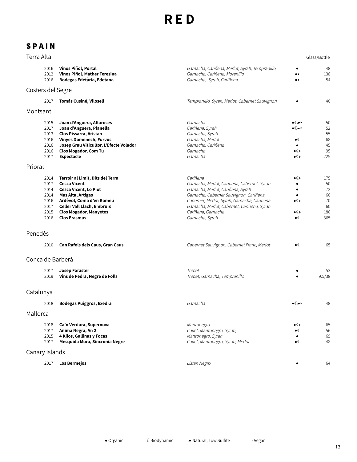### **S P A I N**

| Terra Alta        |                                                              |                                                                                                                                                                                                                                       |                                                                                                                                                                                                                                                                                |                                                                                                           | Glass/Bottle                                    |
|-------------------|--------------------------------------------------------------|---------------------------------------------------------------------------------------------------------------------------------------------------------------------------------------------------------------------------------------|--------------------------------------------------------------------------------------------------------------------------------------------------------------------------------------------------------------------------------------------------------------------------------|-----------------------------------------------------------------------------------------------------------|-------------------------------------------------|
|                   | 2016<br>2012<br>2016                                         | Vinos Piñol, Portal<br>Vinos Piñol, Mather Teresina<br>Bodegas Edetària, Edetana                                                                                                                                                      | Garnacha, Cariñena, Merlot, Syrah, Tempranillo<br>Garnacha, Cariñena, Morenillo<br>Garnacha, Syrah, Cariñena                                                                                                                                                                   | $\bullet\blacktriangleright$<br>$\bullet\blacktriangleright$                                              | 48<br>138<br>54                                 |
| Costers del Segre |                                                              |                                                                                                                                                                                                                                       |                                                                                                                                                                                                                                                                                |                                                                                                           |                                                 |
|                   | 2017                                                         | Tomás Cusiné, Vilosell                                                                                                                                                                                                                | Tempranillo, Syrah, Merlot, Cabernet Sauvignon                                                                                                                                                                                                                                 |                                                                                                           | 40                                              |
| Montsant          |                                                              |                                                                                                                                                                                                                                       |                                                                                                                                                                                                                                                                                |                                                                                                           |                                                 |
|                   | 2015<br>2017<br>2013<br>2016<br>2016<br>2016<br>2017         | Joan d'Anguera, Altaroses<br>Joan d'Anguera, Planella<br>Clos Pissarra, Aristan<br><b>Vinyes Domenech, Furvus</b><br>Josep Grau Viticultor, L'Efecte Volador<br><b>Clos Mogador, Com Tu</b><br>Espectacle                             | Garnacha<br>Cariñena, Syrah<br>Garnacha, Syrah<br>Garnacha, Merlot<br>Garnacha, Cariñena<br>Garnacha<br>Garnacha                                                                                                                                                               | $\bullet$ ( $\blacktriangleright$<br>$\bullet$ ( $\to$ )<br>$\bullet$ (<br>$\bullet$ ( )<br>$\bullet$ ( ) | 50<br>52<br>55<br>68<br>45<br>95<br>225         |
| Priorat           |                                                              |                                                                                                                                                                                                                                       |                                                                                                                                                                                                                                                                                |                                                                                                           |                                                 |
|                   | 2014<br>2017<br>2014<br>2014<br>2016<br>2017<br>2015<br>2016 | Terroir al Limit, Dits del Terra<br><b>Cesca Vicent</b><br><b>Cesca Vicent, Lo Piot</b><br>Mas Alta, Artigas<br>Ardèvol, Coma d'en Romeu<br><b>Celler Vall Llach, Embruix</b><br><b>Clos Mogador, Manyetes</b><br><b>Clos Erasmus</b> | Cariñena<br>Garnacha, Merlot, Cariñena, Cabernet, Syrah<br>Garnacha, Merlot, Cariñena, Syrah<br>Garnacha, Cabernet Sauvignon, Cariñena,<br>Cabernet, Merlot, Syrah, Garnacha, Cariñena<br>Garnacha, Merlot, Cabernet, Cariñena, Syrah<br>Cariñena, Garnacha<br>Garnacha, Syrah | $\bullet$ ( )<br>٠<br>$\bullet$ ( )<br>∙∉∙<br>$\bullet$ (                                                 | 175<br>50<br>72<br>60<br>70<br>60<br>180<br>365 |
| Penedès           |                                                              |                                                                                                                                                                                                                                       |                                                                                                                                                                                                                                                                                |                                                                                                           |                                                 |
|                   | 2010                                                         | Can Rafols dels Caus, Gran Caus                                                                                                                                                                                                       | Cabernet Sauvignon, Cabernet Franc, Merlot                                                                                                                                                                                                                                     | $\bullet$ (                                                                                               | 65                                              |
| Conca de Barberà  |                                                              |                                                                                                                                                                                                                                       |                                                                                                                                                                                                                                                                                |                                                                                                           |                                                 |
|                   | 2017<br>2019                                                 | <b>Josep Foraster</b><br>Vins de Pedra, Negre de Folls                                                                                                                                                                                | Trepat<br>Trepat, Garnacha, Tempranillo                                                                                                                                                                                                                                        |                                                                                                           | 53<br>9.5/38                                    |
| Catalunya         |                                                              |                                                                                                                                                                                                                                       |                                                                                                                                                                                                                                                                                |                                                                                                           |                                                 |
|                   | 2018                                                         | <b>Bodegas Puiggros, Exedra</b>                                                                                                                                                                                                       | Garnacha                                                                                                                                                                                                                                                                       | $\bullet$ ( $\blacktriangleright$                                                                         | 48                                              |
| Mallorca          |                                                              |                                                                                                                                                                                                                                       |                                                                                                                                                                                                                                                                                |                                                                                                           |                                                 |
|                   | 2018<br>2017<br>2015<br>2017                                 | Ca'n Verdura, Supernova<br>Anima Negra, An 2<br>4 Kilos, Gallinas y Focas<br>Mesquida Mora, Sincronia Negre                                                                                                                           | Mantonegro<br>Callet, Mantonegro, Syrah,<br>Mantonegro, Syrah<br>Callet, Mantonegro, Syrah, Merlot                                                                                                                                                                             | $\bullet$ ( )<br>$\bullet$ (<br>$\bullet$ (                                                               | 65<br>56<br>69<br>48                            |
| Canary Islands    |                                                              |                                                                                                                                                                                                                                       |                                                                                                                                                                                                                                                                                |                                                                                                           |                                                 |
|                   | 2017                                                         | Los Bermejos                                                                                                                                                                                                                          | Listan Negro                                                                                                                                                                                                                                                                   |                                                                                                           | 64                                              |

13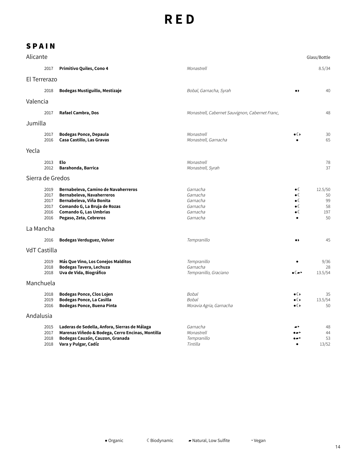| Alicante            |                                              |                                                                                                                                                                                         |                                                                      |                                                                                | Glass/Bottle                           |
|---------------------|----------------------------------------------|-----------------------------------------------------------------------------------------------------------------------------------------------------------------------------------------|----------------------------------------------------------------------|--------------------------------------------------------------------------------|----------------------------------------|
|                     | 2017                                         | Primitivo Quiles, Cono 4                                                                                                                                                                | Monastrell                                                           |                                                                                | 8.5/34                                 |
| El Terrerazo        |                                              |                                                                                                                                                                                         |                                                                      |                                                                                |                                        |
|                     | 2018                                         | Bodegas Mustiguillo, Mestizaje                                                                                                                                                          | Bobal, Garnacha, Syrah                                               | $\bullet\,\flat$                                                               | 40                                     |
| Valencia            |                                              |                                                                                                                                                                                         |                                                                      |                                                                                |                                        |
|                     | 2017                                         | Rafael Cambra, Dos                                                                                                                                                                      | Monastrell, Cabernet Sauvignon, Cabernet Franc,                      |                                                                                | 48                                     |
| Jumilla             |                                              |                                                                                                                                                                                         |                                                                      |                                                                                |                                        |
|                     | 2017<br>2016                                 | <b>Bodegas Ponce, Depaula</b><br>Casa Castillo, Las Gravas                                                                                                                              | Monastrell<br>Monastrell, Garnacha                                   | $\bullet$ ( )                                                                  | 30<br>65                               |
| Yecla               |                                              |                                                                                                                                                                                         |                                                                      |                                                                                |                                        |
|                     | 2013<br>2012                                 | Elo<br>Barahonda, Barrica                                                                                                                                                               | Monastrell<br>Monastrell, Syrah                                      |                                                                                | 78<br>37                               |
| Sierra de Gredos    |                                              |                                                                                                                                                                                         |                                                                      |                                                                                |                                        |
|                     | 2019<br>2017<br>2017<br>2017<br>2016<br>2016 | Bernabeleva, Camino de Navaherreros<br>Bernabeleva, Navaherreros<br>Bernabeleva, Viña Bonita<br>Comando G, La Bruja de Rozas<br><b>Comando G, Las Umbrias</b><br>Pegaso, Zeta, Cebreros | Garnacha<br>Garnacha<br>Garnacha<br>Garnacha<br>Garnacha<br>Garnacha | $\bullet$ (<br>$\bullet$<br>$\bullet$ (<br>$\bullet$<br>$\bullet$<br>$\bullet$ | 12.5/50<br>50<br>99<br>58<br>197<br>50 |
| La Mancha           |                                              |                                                                                                                                                                                         |                                                                      |                                                                                |                                        |
|                     | 2016                                         | Bodegas Verduguez, Volver                                                                                                                                                               | Tempranillo                                                          | $\bullet\blacktriangleright$                                                   | 45                                     |
| <b>VdT Castilla</b> |                                              |                                                                                                                                                                                         |                                                                      |                                                                                |                                        |
|                     | 2019<br>2018<br>2018                         | Más Que Vino, Los Conejos Malditos<br>Bodegas Tavera, Lechuza<br>Uva de Vida, Biográfico                                                                                                | Tempranillo<br>Garnacha<br>Tempranillo, Graciano                     | ∙∝∍                                                                            | 9/36<br>28<br>13.5/54                  |
| Manchuela           |                                              |                                                                                                                                                                                         |                                                                      |                                                                                |                                        |
|                     | 2018<br>2019<br>2016                         | Bodegas Ponce, Clos Lojen<br><b>Bodegas Ponce, La Casilla</b><br><b>Bodegas Ponce, Buena Pinta</b>                                                                                      | <b>Bobal</b><br><b>Bobal</b><br>Moravia Agria, Garnacha              | ∙€<br>$\bullet$ ( )<br>$\bullet$ ( )                                           | 35<br>13.5/54<br>50                    |
| Andalusia           |                                              |                                                                                                                                                                                         |                                                                      |                                                                                |                                        |
|                     | 2015<br>2017<br>2018<br>2018                 | Laderas de Sedella, Anfora, Sierras de Málaga<br>Marenas Viñedo & Bodega, Cerro Encinas, Montilla<br>Bodegas Cauzón, Cauzon, Granada<br>Vara y Pulgar, Cadíz                            | Garnacha<br>Monastrell<br>Tempranillo<br>Tintilla                    | $\bullet$                                                                      | 48<br>44<br>53<br>13/52                |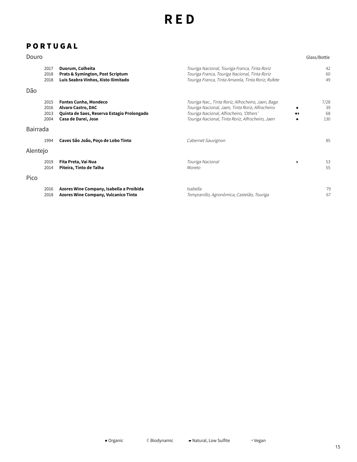### **P O R T U G A L**

| Douro    |                              |                                                                                                                                |                                                                                                                                                                                                       |   | Glass/Bottle            |
|----------|------------------------------|--------------------------------------------------------------------------------------------------------------------------------|-------------------------------------------------------------------------------------------------------------------------------------------------------------------------------------------------------|---|-------------------------|
|          | 2017<br>2018<br>2018         | Duorum, Colheita<br>Prats & Symington, Post Scriptum<br>Luis Seabra Vinhos, Xisto Ilimitado                                    | Touriga Nacional, Touriga Franca, Tinta Roriz<br>Touriga Franca, Touriga Nacional, Tinta Roriz<br>Touriga Franca, Tinta Amarela, Tinta Roriz, Rufete                                                  |   | 42<br>60<br>49          |
| Dão      |                              |                                                                                                                                |                                                                                                                                                                                                       |   |                         |
|          | 2015<br>2016<br>2013<br>2004 | <b>Fontes Cunha, Mondeco</b><br><b>Alvaro Castro, DAC</b><br>Quinta de Saes, Reserva Estagio Prolongado<br>Casa de Darei, Jose | Touriga Nac., Tinta Roriz, Alfrocheiro, Jaen, Baga<br>Touriga Nacional, Jaen, Tinta Roriz, Alfrocheiro<br>Touriga Nacional, Alfrocheiro, 'Others'<br>Touriga Nacional, Tinta Roriz, Alfrocheiro, Jaen |   | 7/28<br>39<br>68<br>130 |
| Bairrada |                              |                                                                                                                                |                                                                                                                                                                                                       |   |                         |
|          | 1994                         | Caves São João, Poço de Lobo Tinto                                                                                             | Cabernet Sauvignon                                                                                                                                                                                    |   | 85                      |
| Alentejo |                              |                                                                                                                                |                                                                                                                                                                                                       |   |                         |
|          | 2019<br>2014                 | Fita Preta, Vai Nua<br>Piteira, Tinto de Talha                                                                                 | Touriga Nacional<br>Moreto                                                                                                                                                                            | ٠ | 53<br>55                |
| Pico     |                              |                                                                                                                                |                                                                                                                                                                                                       |   |                         |
|          | 2016<br>2018                 | Azores Wine Company, Isabella a Proibida<br><b>Azores Wine Company, Vulcanico Tinto</b>                                        | Isabella<br>Tempranillo, Agronòmica, Castelão, Touriga                                                                                                                                                |   | 79<br>67                |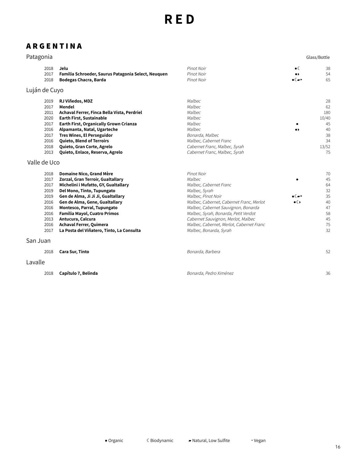#### **A R G E N T I N A**

#### Patagonia Glass/Bottle  $\bullet$ 2018 Pinot Noir 38 **Jelu** 2017 **Familia Schroeder, Saurus Patagonia Select, Neuquen** Pinot Noir  $\bullet\star$ 54 2018 **Bodegas Chacra, Barda** Pinot Noir ☾▰‣ 65 Luján de Cuyo **RJ Viñedos, MDZ** Malbec 2019 28 Malbec 2017 **Mendel** 62 **Achaval Ferrer, Finca Bella Vista, Perdriel** Malbec 2011 180 2020 **Earth First, Sustainable** Malbec 10/40 2017 **Earth First, Organically Grown Crianza** Malbec 45 40 2016 **Alpamanta, Natal, Ugarteche** Malbec  $\bullet$ 2017 **Tres Wines, El Perseguidor** Bonarda, Malbec 38 2016 **Quieto, Blend of Terroirs** Malbec, Cabernet Franc 34 2018 **Quieto, Gran Corte, Agrelo** Cabernet Franc, Malbec, Syrah 13/52 2013 **Quieto, Enlace, Reserva, Agrelo** Cabernet Franc, Malbec, Syrah 75 Valle de Uco 2018 **Domaine Nico, Grand Mère** Pinot Noir 70 2017 **Zorzal, Gran Terroir, Gualtallary** 45 Malbec  $\bullet$ 2017 **Michelini i Mufatto, GY, Gualtallary** Malbec, Cabernet Franc 64 2019 **Del Mono, Tinto, Tupungato** Malbec, Syrah 32 **Gen de Alma, Ji Ji Ji, Gualtallary** Malbec, Pinot Noir 35 2019 ☾▰‣ **Gen de Alma, Gene, Gualtallary** Malbec, Cabernet, Cabernet Franc, Merlot 40 2016  $\bullet$ 2016 **Montesco, Parral, Tupungato** Malbec, Cabernet Sauvignon, Bonarda 47 58 2016 **Familia Mayol, Cuatro Primos** Malbec, Syrah, Bonarda, Petit Verdot 2013 **Antucura, Calcura** Cabernet Sauvignon, Merlot, Malbec 45 2016 **Achaval Ferrer, Quimera** Malbec, Cabernet, Merlot, Cabernet Franc 75 2017 **La Posta del Viñatero, Tinto, La Consulta** Malbec, Bonarda, Syrah 32 San Juan 2018 **Cara Sur, Tinto** Bonarda, Barbera 52 Lavalle 2018 **Capítulo 7, Belinda** Bonarda, Pedro Ximénez 36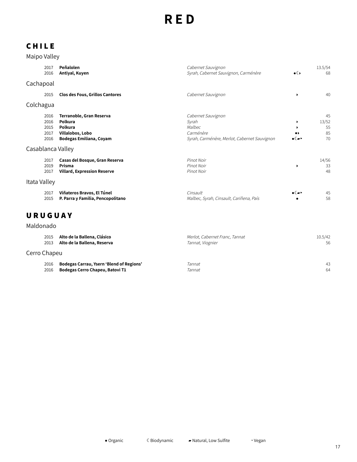### **C H I L E**

Maipo Valley

|              | 2017<br>2016 | Peñalolen<br>Antiyal, Kuyen            | Cabernet Sauvignon<br>Syrah, Cabernet Sauvignon, Carménère | $\bullet$ ( )           | 13.5/54<br>68 |
|--------------|--------------|----------------------------------------|------------------------------------------------------------|-------------------------|---------------|
| Cachapoal    |              |                                        |                                                            |                         |               |
|              | 2015         | <b>Clos des Fous, Grillos Cantores</b> | Cabernet Sauvignon                                         | $\blacktriangleright$   | 40            |
| Colchagua    |              |                                        |                                                            |                         |               |
|              | 2016         | Terranoble, Gran Reserva               | Cabernet Sauvignon                                         |                         | 45            |
|              | 2016         | Polkura                                | Syrah                                                      | ▸                       | 13/52         |
|              | 2015         | Polkura                                | Malbec                                                     |                         | 55            |
|              | 2017         | Villalobos, Lobo                       | Carménère                                                  | .,                      | 85            |
|              | 2016         | <b>Bodegas Emiliana, Coyam</b>         | Syrah, Carménère, Merlot, Cabernet Sauvignon               |                         | 70            |
|              |              | Casablanca Valley                      |                                                            |                         |               |
|              | 2017         | Casas del Bosque, Gran Reserva         | Pinot Noir                                                 |                         | 14/56         |
|              | 2019         | Prisma                                 | Pinot Noir                                                 | ▸                       | 33            |
|              | 2017         | <b>Villard, Expression Reserve</b>     | Pinot Noir                                                 |                         | 48            |
| Itata Valley |              |                                        |                                                            |                         |               |
|              | 2017         | Viñateros Bravos, El Túnel             | Cinsault                                                   | $\bullet$ ( $\bullet$ ) | 45            |
|              | 2015         | P. Parra y Familia, Pencopolitano      | Malbec, Syrah, Cinsault, Cariñena, País                    |                         | 58            |
|              |              |                                        |                                                            |                         |               |

### **U R U G U A Y**

Maldonado

|              | 2015 | Alto de la Ballena, Clásico                     | Merlot, Cabernet Franc, Tannat | 10.5/42 |
|--------------|------|-------------------------------------------------|--------------------------------|---------|
|              | 2013 | Alto de la Ballena, Reserva                     | Tannat, Viognier               | 56      |
| Cerro Chapeu |      |                                                 |                                |         |
|              | 2016 | <b>Bodegas Carrau, Ysern 'Blend of Regions'</b> | Tannat                         | 43      |
|              | 2016 | Bodegas Cerro Chapeu, Batovi T1                 | Tannat                         | 64      |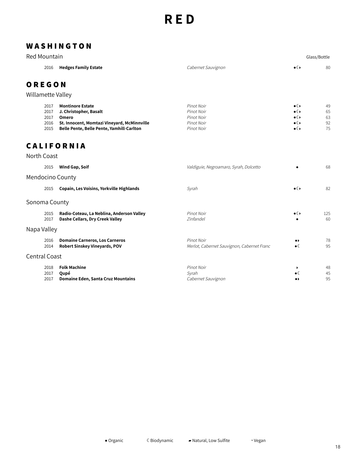#### **W A S H I N G T O N**

| Red Mountain                         |                                                                                                                                                        |                                                                    |                                                                         | Glass/Bottle               |
|--------------------------------------|--------------------------------------------------------------------------------------------------------------------------------------------------------|--------------------------------------------------------------------|-------------------------------------------------------------------------|----------------------------|
| 2016                                 | <b>Hedges Family Estate</b>                                                                                                                            | Cabernet Sauvignon                                                 | $\bullet$ ( )                                                           | 80                         |
| OREGON                               |                                                                                                                                                        |                                                                    |                                                                         |                            |
| Willamette Valley                    |                                                                                                                                                        |                                                                    |                                                                         |                            |
| 2017<br>2017<br>2017<br>2016<br>2015 | <b>Montinore Estate</b><br>J. Christopher, Basalt<br>Omero<br>St. Innocent, Momtazi Vineyard, McMinnville<br>Belle Pente, Belle Pente, Yamhill-Carlton | Pinot Noir<br>Pinot Noir<br>Pinot Noir<br>Pinot Noir<br>Pinot Noir | ∙∉∙<br>$\bullet$ ( )<br>$\bullet$ ( )<br>$\bullet$ ( )<br>$\bullet$ ( ) | 49<br>65<br>63<br>92<br>75 |
|                                      | <b>CALIFORNIA</b>                                                                                                                                      |                                                                    |                                                                         |                            |
| North Coast                          |                                                                                                                                                        |                                                                    |                                                                         |                            |
| 2015                                 | Wind Gap, Soif                                                                                                                                         | Valdiguie, Negroamaro, Syrah, Dolcetto                             |                                                                         | 68                         |
| Mendocino County                     |                                                                                                                                                        |                                                                    |                                                                         |                            |
| 2015                                 | Copain, Les Voisins, Yorkville Highlands                                                                                                               | Syrah                                                              | $\bullet$ ( )                                                           | 82                         |
| Sonoma County                        |                                                                                                                                                        |                                                                    |                                                                         |                            |
| 2015<br>2017                         | Radio-Coteau, La Neblina, Anderson Valley<br>Dashe Cellars, Dry Creek Valley                                                                           | Pinot Noir<br>Zinfandel                                            | $\bullet$ ( )                                                           | 125<br>60                  |
| Napa Valley                          |                                                                                                                                                        |                                                                    |                                                                         |                            |
| 2016<br>2014                         | <b>Domaine Carneros, Los Carneros</b><br>Robert Sinskey Vineyards, POV                                                                                 | Pinot Noir<br>Merlot, Cabernet Sauvignon, Cabernet Franc           | $\bullet\blacktriangleright$<br>$\bullet$ (                             | 78<br>95                   |
| <b>Central Coast</b>                 |                                                                                                                                                        |                                                                    |                                                                         |                            |
| 2018<br>2017<br>2017                 | <b>Folk Machine</b><br>Qupé<br><b>Domaine Eden, Santa Cruz Mountains</b>                                                                               | Pinot Noir<br>Syrah<br>Cabernet Sauvignon                          | ▸<br>$\bullet$ (<br>$\bullet\blacktriangleright$                        | 48<br>45<br>95             |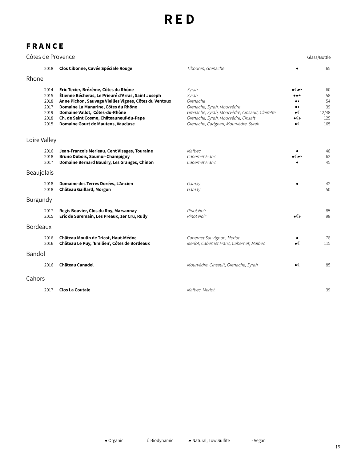### **F R A N C E**

|              |                                                      | Côtes de Provence                                                                                                                                                                                                                                                                                              |                                                                                                                                                                                            |                                                                                          | Glass/Bottle                                |
|--------------|------------------------------------------------------|----------------------------------------------------------------------------------------------------------------------------------------------------------------------------------------------------------------------------------------------------------------------------------------------------------------|--------------------------------------------------------------------------------------------------------------------------------------------------------------------------------------------|------------------------------------------------------------------------------------------|---------------------------------------------|
|              | 2018                                                 | Clos Cibonne, Cuvée Spéciale Rouge                                                                                                                                                                                                                                                                             | Tibouren, Grenache                                                                                                                                                                         |                                                                                          | 65                                          |
| Rhone        |                                                      |                                                                                                                                                                                                                                                                                                                |                                                                                                                                                                                            |                                                                                          |                                             |
|              | 2014<br>2015<br>2018<br>2017<br>2019<br>2018<br>2015 | Eric Texier, Brézème, Côtes du Rhône<br>Étienne Bécheras, Le Prieuré d'Arras, Saint Joseph<br>Anne Pichon, Sauvage Vieilles Vignes, Côtes du Ventoux<br>Domaine La Manarine, Côtes du Rhône<br>Domaine Vallot, Côtes-du-Rhône<br>Ch. de Saint Cosme, Châteauneuf-du-Pape<br>Domaine Gourt de Mautens, Vaucluse | Syrah<br>Syrah<br>Grenache<br>Grenache, Syrah, Mourvèdre<br>Grenache, Syrah, Mourvèdre, Cinsault, Clairette<br>Grenache, Syrah, Mourvèdre, Cinsalt<br>Grenache, Carignan, Mourvèdre, Syrah | ∙∝∍<br>.,<br>$\bullet\blacktriangleright$<br>$\bullet$ (<br>$\bullet$ ( )<br>$\bullet$ ( | 60<br>58<br>54<br>39<br>12/48<br>125<br>165 |
| Loire Valley |                                                      |                                                                                                                                                                                                                                                                                                                |                                                                                                                                                                                            |                                                                                          |                                             |
|              | 2016<br>2018<br>2017                                 | Jean-Francois Merieau, Cent Visages, Touraine<br><b>Bruno Dubois, Saumur-Champigny</b><br>Domaine Bernard Baudry, Les Granges, Chinon                                                                                                                                                                          | Malbec<br>Cabernet Franc<br>Cabernet Franc                                                                                                                                                 |                                                                                          | 48<br>62<br>45                              |
| Beaujolais   |                                                      |                                                                                                                                                                                                                                                                                                                |                                                                                                                                                                                            |                                                                                          |                                             |
|              | 2018<br>2018                                         | Domaine des Terres Dorées, L'Ancien<br>Château Gaillard, Morgon                                                                                                                                                                                                                                                | Gamay<br>Gamay                                                                                                                                                                             |                                                                                          | 42<br>50                                    |
| Burgundy     |                                                      |                                                                                                                                                                                                                                                                                                                |                                                                                                                                                                                            |                                                                                          |                                             |
|              | 2017<br>2015                                         | Regis Bouvier, Clos du Roy, Marsannay<br>Eric de Suremain, Les Preaux, 1er Cru, Rully                                                                                                                                                                                                                          | Pinot Noir<br>Pinot Noir                                                                                                                                                                   | $\bullet$                                                                                | 85<br>98                                    |
| Bordeaux     |                                                      |                                                                                                                                                                                                                                                                                                                |                                                                                                                                                                                            |                                                                                          |                                             |
|              | 2016<br>2016                                         | Château Moulin de Tricot, Haut-Médoc<br>Château Le Puy, 'Emilien', Côtes de Bordeaux                                                                                                                                                                                                                           | Cabernet Sauvignon, Merlot<br>Merlot, Cabernet Franc, Cabernet, Malbec                                                                                                                     | $\bullet$                                                                                | 78<br>115                                   |
| Bandol       |                                                      |                                                                                                                                                                                                                                                                                                                |                                                                                                                                                                                            |                                                                                          |                                             |
|              | 2016                                                 | Château Canadel                                                                                                                                                                                                                                                                                                | Mourvèdre, Cinsault, Grenache, Syrah                                                                                                                                                       | $\bullet$ (                                                                              | 85                                          |
| Cahors       |                                                      |                                                                                                                                                                                                                                                                                                                |                                                                                                                                                                                            |                                                                                          |                                             |
|              | 2017                                                 | <b>Clos La Coutale</b>                                                                                                                                                                                                                                                                                         | Malbec, Merlot                                                                                                                                                                             |                                                                                          | 39                                          |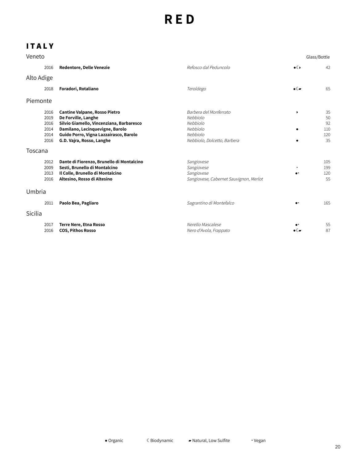### **I T A L Y**

| Veneto                                       |                                                                                                                                                                                                                   |                                                                                                       |                                   | Glass/Bottle                       |
|----------------------------------------------|-------------------------------------------------------------------------------------------------------------------------------------------------------------------------------------------------------------------|-------------------------------------------------------------------------------------------------------|-----------------------------------|------------------------------------|
| 2016                                         | Redentore, Delle Venezie                                                                                                                                                                                          | Refosco dal Peduncolo                                                                                 | $\bullet$ ( )                     | 42                                 |
| Alto Adige                                   |                                                                                                                                                                                                                   |                                                                                                       |                                   |                                    |
| 2018                                         | Foradori, Rotaliano                                                                                                                                                                                               | Teroldego                                                                                             | $\bullet$ ( $\bullet$             | 65                                 |
| Piemonte                                     |                                                                                                                                                                                                                   |                                                                                                       |                                   |                                    |
| 2016<br>2019<br>2016<br>2014<br>2014<br>2016 | <b>Cantine Valpane, Rosso Pietro</b><br>De Forville, Langhe<br>Silvio Giamello, Vincenziana, Barbaresco<br>Damilano, Lecinquevigne, Barolo<br>Guido Porro, Vigna Lazzairasco, Barolo<br>G.D. Vajra, Rosso, Langhe | Barbera del Monferrato<br>Nebbiolo<br>Nebbiolo<br>Nebbiolo<br>Nebbiolo<br>Nebbiolo, Dolcetto, Barbera | $\blacktriangleright$<br>٠        | 35<br>50<br>92<br>110<br>120<br>35 |
| Toscana                                      |                                                                                                                                                                                                                   |                                                                                                       |                                   |                                    |
| 2012<br>2009<br>2013<br>2016                 | Dante di Fiorenzo, Brunello di Montalcino<br>Sesti, Brunello di Montalcino<br>Il Colle, Brunello di Montalcino<br>Altesino, Rosso di Altesino                                                                     | Sangiovese<br>Sangiovese<br>Sangiovese<br>Sangiovese, Cabernet Sauvignon, Merlot                      | ٠<br>$\bullet$                    | 105<br>199<br>120<br>55            |
| Umbria                                       |                                                                                                                                                                                                                   |                                                                                                       |                                   |                                    |
| 2011                                         | Paolo Bea, Pagliaro                                                                                                                                                                                               | Sagrantino di Montefalco                                                                              |                                   | 165                                |
| Sicilia                                      |                                                                                                                                                                                                                   |                                                                                                       |                                   |                                    |
| 2017<br>2016                                 | <b>Terre Nere, Etna Rosso</b><br><b>COS, Pithos Rosso</b>                                                                                                                                                         | Nerello Mascalese<br>Nero d'Avola, Frappato                                                           | $\bullet$ ( $\blacktriangleright$ | 55<br>87                           |